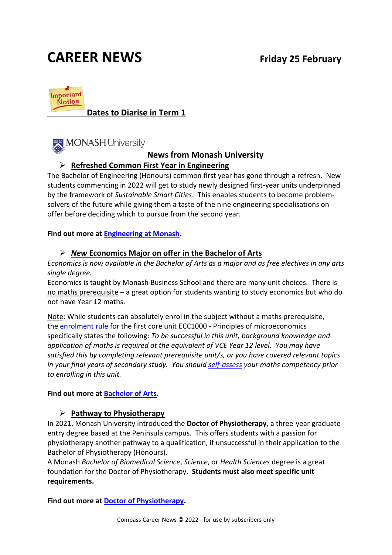## **CAREER NEWS Friday 25 February**



### **Dates to Diarise in Term 1**



#### **News from Monash University**

#### ➢ **Refreshed Common First Year in Engineering**

The Bachelor of Engineering (Honours) common first year has gone through a refresh. New students commencing in 2022 will get to study newly designed first-year units underpinned by the framework of *Sustainable Smart Cities*. This enables students to become problemsolvers of the future while giving them a taste of the nine engineering specialisations on offer before deciding which to pursue from the second year.

#### **Find out more at [Engineering at Monash.](https://www.monash.edu/study/courses/find-a-course/2022/engineering-e3001?domestic=true)**

#### ➢ *New* **Economics Major on offer in the Bachelor of Arts**

*Economics is now available in the Bachelor of Arts as a major and as free electives in any arts single degree.*

Economics is taught by Monash Business School and there are many unit choices. There is no maths prerequisite – a great option for students wanting to study economics but who do not have Year 12 maths.

Note: While students can absolutely enrol in the subject without a maths prerequisite, the [enrolment rule](https://handbook.monash.edu/current/units/ECC1000) for the first core unit ECC1000 - Principles of microeconomics specifically states the following: *To be successful in this unit, background knowledge and application of maths is required at the equivalent of VCE Year 12 level. You may have satisfied this by completing relevant prerequisite unit/s, or you have covered relevant topics in your final years of secondary study. You should [self-assess](https://www.monash.edu/business/current-students/course-advice-and-planning) your maths competency prior to enrolling in this unit.*

#### **Find out more at [Bachelor of Arts.](https://www.monash.edu/study/courses/find-a-course/2022/arts-a2000?domestic)**

#### ➢ **Pathway to Physiotherapy**

In 2021, Monash University introduced the **Doctor of Physiotherapy**, a three-year graduateentry degree based at the Peninsula campus. This offers students with a passion for physiotherapy another pathway to a qualification, if unsuccessful in their application to the Bachelor of Physiotherapy (Honours).

A Monash *Bachelor of Biomedical Science*, *Science*, or *Health Sciences* degree is a great foundation for the Doctor of Physiotherapy. **Students must also meet specific unit requirements.** 

**Find out more at [Doctor of Physiotherapy.](https://www.monash.edu/study/courses/find-a-course/2020/physiotherapy-m6032?utm_campaign=future_students__Medicine&utm_source=monash_update&utm_medium=email&utm_content=issues_9)**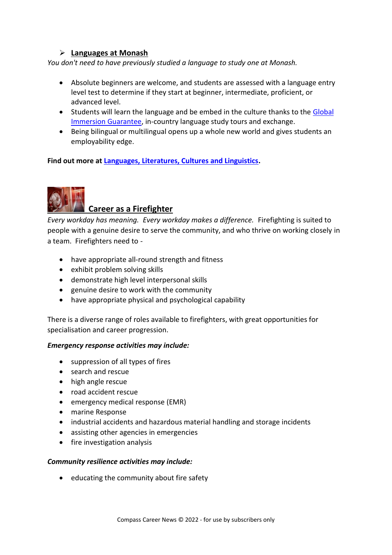#### ➢ **Languages at Monash**

*You don't need to have previously studied a language to study one at Monash.* 

- Absolute beginners are welcome, and students are assessed with a language entry level test to determine if they start at beginner, intermediate, proficient, or advanced level.
- Students will learn the language and be embed in the culture thanks to the [Global](https://www.monash.edu/arts/learning-abroad/global-immersion-guarantee)  [Immersion Guarantee,](https://www.monash.edu/arts/learning-abroad/global-immersion-guarantee) in-country language study tours and exchange.
- Being bilingual or multilingual opens up a whole new world and gives students an employability edge.

**Find out more at [Languages, Literatures, Cultures and Linguistics.](https://www.monash.edu/arts/languages-literatures-cultures-linguistics/home)** 



#### **Career as a Firefighter**

*Every workday has meaning. Every workday makes a difference.* Firefighting is suited to people with a genuine desire to serve the community, and who thrive on working closely in a team. Firefighters need to -

- have appropriate all-round strength and fitness
- exhibit problem solving skills
- demonstrate high level interpersonal skills
- genuine desire to work with the community
- have appropriate physical and psychological capability

There is a diverse range of roles available to firefighters, with great opportunities for specialisation and career progression.

#### *Emergency response activities may include:*

- suppression of all types of fires
- search and rescue
- high angle rescue
- road accident rescue
- emergency medical response (EMR)
- marine Response
- industrial accidents and hazardous material handling and storage incidents
- assisting other agencies in emergencies
- fire investigation analysis

#### *Community resilience activities may include:*

• educating the community about fire safety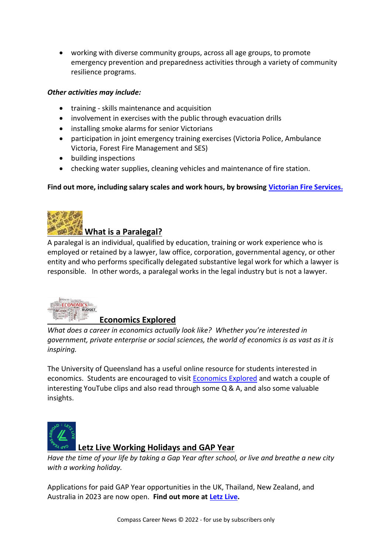• working with diverse community groups, across all age groups, to promote emergency prevention and preparedness activities through a variety of community resilience programs.

#### *Other activities may include:*

- training skills maintenance and acquisition
- involvement in exercises with the public through evacuation drills
- installing smoke alarms for senior Victorians
- participation in joint emergency training exercises (Victoria Police, Ambulance Victoria, Forest Fire Management and SES)
- building inspections
- checking water supplies, cleaning vehicles and maintenance of fire station.

#### **Find out more, including salary scales and work hours, by browsing [Victorian Fire Services.](https://firefighter.vic.gov.au/about-career-firefighters/)**



#### **What is a Paralegal?**

A paralegal is an individual, qualified by education, training or work experience who is employed or retained by a lawyer, law office, corporation, governmental agency, or other entity and who performs specifically delegated substantive legal work for which a lawyer is responsible. In other words, a paralegal works in the legal industry but is not a lawyer.



#### **Economics Explored**

*What does a career in economics actually look like? Whether you're interested in government, private enterprise or social sciences, the world of economics is as vast as it is inspiring.*

The University of Queensland has a useful online resource for students interested in economics. Students are encouraged to visit [Economics Explored](https://economics.uq.edu.au/study/school?utm_medium=email&utm_source=News-from-UQ&utm_campaign=economics-explored-2022) and watch a couple of interesting YouTube clips and also read through some Q & A, and also some valuable insights.



#### **Letz Live Working Holidays and GAP Year**

*Have the time of your life by taking a Gap Year after school, or live and breathe a new city with a working holiday.*

Applications for paid GAP Year opportunities in the UK, Thailand, New Zealand, and Australia in 2023 are now open. **Find out more at [Letz Live.](https://www.letzlive.org/types/gap-year/)**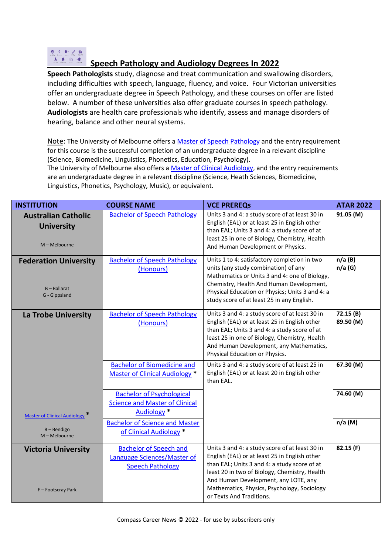#### $0.2.2.0$ 主要面通 **Speech Pathology and Audiology Degrees In 2022**

**Speech Pathologists** study, diagnose and treat communication and swallowing disorders, including difficulties with speech, language, fluency, and voice. Four Victorian universities offer an undergraduate degree in Speech Pathology, and these courses on offer are listed below. A number of these universities also offer graduate courses in speech pathology. **Audiologists** are health care professionals who identify, assess and manage disorders of hearing, balance and other neural systems.

Note: The University of Melbourne offers a [Master of Speech Pathology](https://study.unimelb.edu.au/find/courses/graduate/master-of-speech-pathology/entry-requirements/) and the entry requirement for this course is the successful completion of an undergraduate degree in a relevant discipline (Science, Biomedicine, Linguistics, Phonetics, Education, Psychology).

The University of Melbourne also offers [a Master of Clinical Audiology,](https://study.unimelb.edu.au/find/courses/graduate/master-of-clinical-audiology/) and the entry requirements are an undergraduate degree in a relevant discipline (Science, Heath Sciences, Biomedicine, Linguistics, Phonetics, Psychology, Music), or equivalent.

| <b>INSTITUTION</b>                                               | <b>COURSE NAME</b>                                                                                  | <b>VCE PREREQS</b>                                                                                                                                                                                                                                                                                                  | <b>ATAR 2022</b>      |
|------------------------------------------------------------------|-----------------------------------------------------------------------------------------------------|---------------------------------------------------------------------------------------------------------------------------------------------------------------------------------------------------------------------------------------------------------------------------------------------------------------------|-----------------------|
| <b>Australian Catholic</b><br><b>University</b><br>M - Melbourne | <b>Bachelor of Speech Pathology</b>                                                                 | Units 3 and 4: a study score of at least 30 in<br>English (EAL) or at least 25 in English other<br>than EAL; Units 3 and 4: a study score of at<br>least 25 in one of Biology, Chemistry, Health<br>And Human Development or Physics.                                                                               | 91.05 (M)             |
| <b>Federation University</b><br>$B - Ballarat$<br>G - Gippsland  | <b>Bachelor of Speech Pathology</b><br>(Honours)                                                    | Units 1 to 4: satisfactory completion in two<br>units (any study combination) of any<br>Mathematics or Units 3 and 4: one of Biology,<br>Chemistry, Health And Human Development,<br>Physical Education or Physics; Units 3 and 4: a<br>study score of at least 25 in any English.                                  | n/a(B)<br>n/a(G)      |
| <b>La Trobe University</b>                                       | <b>Bachelor of Speech Pathology</b><br>(Honours)                                                    | Units 3 and 4: a study score of at least 30 in<br>English (EAL) or at least 25 in English other<br>than EAL; Units 3 and 4: a study score of at<br>least 25 in one of Biology, Chemistry, Health<br>And Human Development, any Mathematics,<br>Physical Education or Physics.                                       | 72.15(B)<br>89.50 (M) |
|                                                                  | <b>Bachelor of Biomedicine and</b><br><b>Master of Clinical Audiology *</b>                         | Units 3 and 4: a study score of at least 25 in<br>English (EAL) or at least 20 in English other<br>than EAL.                                                                                                                                                                                                        | 67.30 (M)             |
| Master of Clinical Audiology <sup>*</sup>                        | <b>Bachelor of Psychological</b><br><b>Science and Master of Clinical</b><br>Audiology <sup>*</sup> |                                                                                                                                                                                                                                                                                                                     | 74.60 (M)             |
| $B -$ Bendigo<br>M - Melbourne                                   | <b>Bachelor of Science and Master</b><br>of Clinical Audiology *                                    |                                                                                                                                                                                                                                                                                                                     | $n/a$ (M)             |
| <b>Victoria University</b><br>F-Footscray Park                   | <b>Bachelor of Speech and</b><br>Language Sciences/Master of<br><b>Speech Pathology</b>             | Units 3 and 4: a study score of at least 30 in<br>English (EAL) or at least 25 in English other<br>than EAL; Units 3 and 4: a study score of at<br>least 20 in two of Biology, Chemistry, Health<br>And Human Development, any LOTE, any<br>Mathematics, Physics, Psychology, Sociology<br>or Texts And Traditions. | 82.15 (F)             |